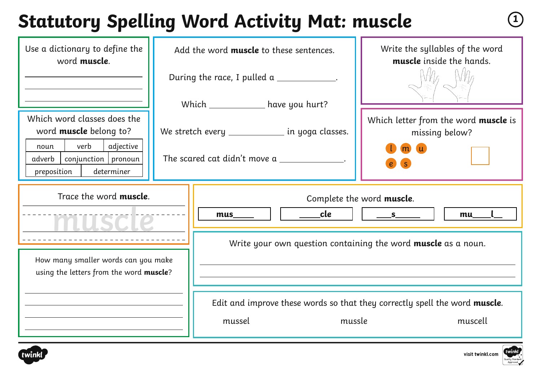#### **Statutory Spelling Word Activity Mat: muscle <sup>1</sup>**

| Use a dictionary to define the<br>word muscle.                                                                                                              | Add the word muscle to these sentences. |                                                                                                                                | Write the syllables of the word<br>muscle inside the hands.                                     |
|-------------------------------------------------------------------------------------------------------------------------------------------------------------|-----------------------------------------|--------------------------------------------------------------------------------------------------------------------------------|-------------------------------------------------------------------------------------------------|
|                                                                                                                                                             |                                         | During the race, I pulled a ____________.                                                                                      |                                                                                                 |
| Which word classes does the<br>word <b>muscle</b> belong to?<br>verb<br>adjective<br>noun<br>$conjunction$   pronoun<br>adverb<br>preposition<br>determiner |                                         | Which ___________ have you hurt?<br>We stretch every ___________ in yoga classes.<br>The scared cat didn't move a              | Which letter from the word muscle is<br>missing below?<br>S                                     |
| Trace the word muscle.<br>How many smaller words can you make<br>using the letters from the word muscle?                                                    |                                         | Complete the word muscle.<br>____cle<br>S<br>mus<br>mu<br>Write your own question containing the word <b>muscle</b> as a noun. |                                                                                                 |
|                                                                                                                                                             |                                         | mussel                                                                                                                         | Edit and improve these words so that they correctly spell the word muscle.<br>mussle<br>muscell |

visit twinkl.com

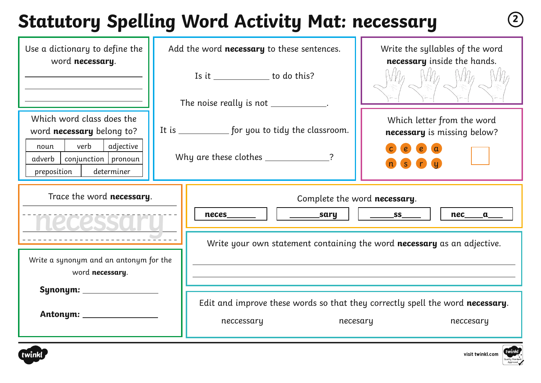# **Statutory Spelling Word Activity Mat: necessary <sup>2</sup>**

| Use a dictionary to define the<br>word necessary.                                        | Add the word necessary to these sentences.                                                              | Write the syllables of the word<br>necessary inside the hands.          |  |  |  |
|------------------------------------------------------------------------------------------|---------------------------------------------------------------------------------------------------------|-------------------------------------------------------------------------|--|--|--|
|                                                                                          | Is it ________________ to do this?                                                                      |                                                                         |  |  |  |
|                                                                                          | The noise really is not ___________.                                                                    |                                                                         |  |  |  |
| Which word class does the<br>word necessary belong to?                                   | It is ______________ for you to tidy the classroom.                                                     | Which letter from the word<br>necessary is missing below?               |  |  |  |
| verb<br>adjective<br>noun<br>adverb   conjunction   pronoun<br>preposition<br>determiner | Why are these clothes _____________?                                                                    | $\epsilon$                                                              |  |  |  |
| Trace the word necessary.                                                                | _________sary<br>neces                                                                                  | Complete the word necessary.<br>$S =$<br>nec a                          |  |  |  |
|                                                                                          |                                                                                                         | Write your own statement containing the word necessary as an adjective. |  |  |  |
| Write a synonym and an antonym for the<br>word necessary.                                |                                                                                                         |                                                                         |  |  |  |
|                                                                                          | Edit and improve these words so that they correctly spell the word necessary.<br>neccessary<br>necesary | neccesary                                                               |  |  |  |

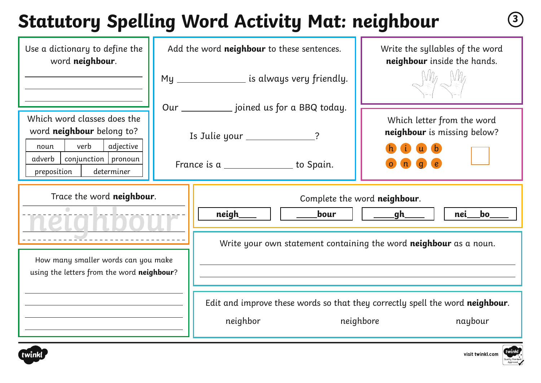# **Statutory Spelling Word Activity Mat: neighbour <sup>3</sup>**

| Use a dictionary to define the<br>word neighbour.                                     | Add the word neighbour to these sentences. |                                                                                                                                                | Write the syllables of the word<br>neighbour inside the hands.                |  |
|---------------------------------------------------------------------------------------|--------------------------------------------|------------------------------------------------------------------------------------------------------------------------------------------------|-------------------------------------------------------------------------------|--|
|                                                                                       |                                            | My ______________ is always very friendly.<br>Our _____________ joined us for a BBQ today.                                                     | $M_{\ell}$ $N_{\ell}$                                                         |  |
| Which word classes does the<br>word neighbour belong to?<br>verb<br>adjective<br>noun | Is Julie your _____________?               |                                                                                                                                                | Which letter from the word<br>neighbour is missing below?                     |  |
| conjunction   pronoun<br>adverb<br>determiner<br>preposition                          |                                            | France is a _________________ to Spain.                                                                                                        |                                                                               |  |
| Trace the word neighbour.                                                             |                                            | Complete the word neighbour.<br>neigh_<br>bour<br>_______gh_<br>nei<br>bo<br>Write your own statement containing the word neighbour as a noun. |                                                                               |  |
| How many smaller words can you make<br>using the letters from the word neighbour?     |                                            |                                                                                                                                                |                                                                               |  |
|                                                                                       |                                            |                                                                                                                                                | Edit and improve these words so that they correctly spell the word neighbour. |  |



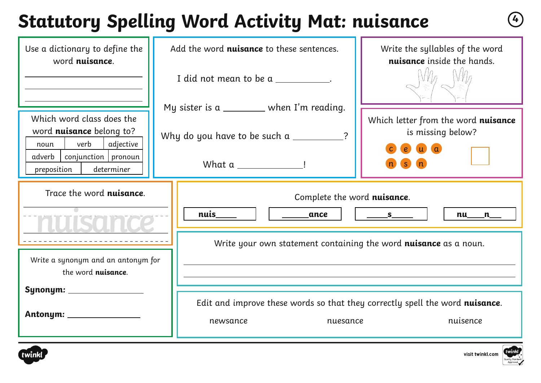# **Statutory Spelling Word Activity Mat: nuisance <sup>4</sup>**

| Use a dictionary to define the<br>word nuisance.                                                                                                                        | Add the word nuisance to these sentences.                                                                                     | Write the syllables of the word<br>nuisance inside the hands.            |  |  |
|-------------------------------------------------------------------------------------------------------------------------------------------------------------------------|-------------------------------------------------------------------------------------------------------------------------------|--------------------------------------------------------------------------|--|--|
|                                                                                                                                                                         | I did not mean to be a ___________.                                                                                           |                                                                          |  |  |
| Which word class does the<br>word <b>nuisance</b> belong to?<br>verb<br>adjective<br>noun<br>$\vert$ conjunction $\vert$ pronoun<br>adverb<br>determiner<br>preposition | My sister is a $\_\_\_\_\_\_$ when I'm reading.<br>Why do you have to be such a $\frac{1}{2}$ ?<br>What a __________________! | Which letter from the word nuisance<br>is missing below?<br>$\mathbf{u}$ |  |  |
| Trace the word nuisance.                                                                                                                                                | Complete the word nuisance.<br>nuis<br>ance<br>S<br>$nu_{max}$                                                                |                                                                          |  |  |
| Write a synonym and an antonym for<br>the word nuisance.                                                                                                                | Write your own statement containing the word nuisance as a noun.                                                              |                                                                          |  |  |
| Antonym: _____________                                                                                                                                                  | Edit and improve these words so that they correctly spell the word nuisance.<br>nuisence<br>nuesance<br>newsance              |                                                                          |  |  |